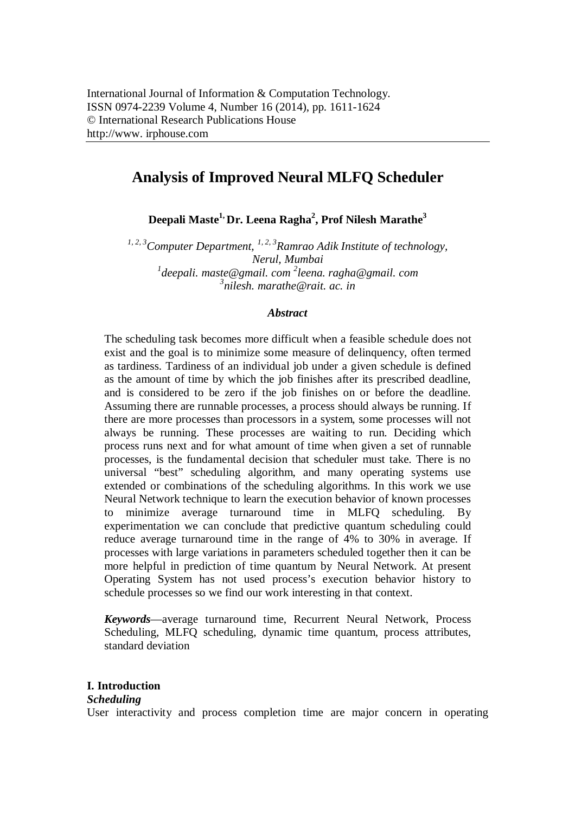# **Analysis of Improved Neural MLFQ Scheduler**

**Deepali Maste1, Dr. Leena Ragha<sup>2</sup> , Prof Nilesh Marathe<sup>3</sup>**

*1, 2, 3Computer Department, 1, 2, 3 Ramrao Adik Institute of technology, Nerul, Mumbai* <sup>1</sup>deepali. maste@gmail. com <sup>2</sup>leena. ragha@gmail. com *3 nilesh. marathe@rait. ac. in*

# *Abstract*

The scheduling task becomes more difficult when a feasible schedule does not exist and the goal is to minimize some measure of delinquency, often termed as tardiness. Tardiness of an individual job under a given schedule is defined as the amount of time by which the job finishes after its prescribed deadline, and is considered to be zero if the job finishes on or before the deadline. Assuming there are runnable processes, a process should always be running. If there are more processes than processors in a system, some processes will not always be running. These processes are waiting to run. Deciding which process runs next and for what amount of time when given a set of runnable processes, is the fundamental decision that scheduler must take. There is no universal "best" scheduling algorithm, and many operating systems use extended or combinations of the scheduling algorithms. In this work we use Neural Network technique to learn the execution behavior of known processes to minimize average turnaround time in MLFQ scheduling. By experimentation we can conclude that predictive quantum scheduling could reduce average turnaround time in the range of 4% to 30% in average. If processes with large variations in parameters scheduled together then it can be more helpful in prediction of time quantum by Neural Network. At present Operating System has not used process's execution behavior history to schedule processes so we find our work interesting in that context.

*Keywords*—average turnaround time, Recurrent Neural Network, Process Scheduling, MLFQ scheduling, dynamic time quantum, process attributes, standard deviation

# **I. Introduction**

### *Scheduling*

User interactivity and process completion time are major concern in operating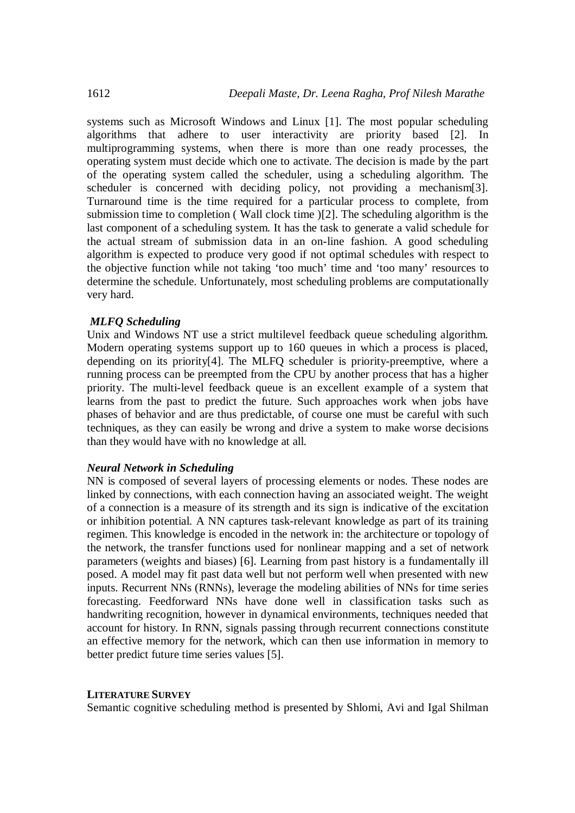systems such as Microsoft Windows and Linux [1]. The most popular scheduling algorithms that adhere to user interactivity are priority based [2]. In multiprogramming systems, when there is more than one ready processes, the operating system must decide which one to activate. The decision is made by the part of the operating system called the scheduler, using a scheduling algorithm. The scheduler is concerned with deciding policy, not providing a mechanism[3]. Turnaround time is the time required for a particular process to complete, from submission time to completion ( Wall clock time )[2]. The scheduling algorithm is the last component of a scheduling system. It has the task to generate a valid schedule for the actual stream of submission data in an on-line fashion. A good scheduling algorithm is expected to produce very good if not optimal schedules with respect to the objective function while not taking 'too much' time and 'too many' resources to determine the schedule. Unfortunately, most scheduling problems are computationally very hard.

## *MLFQ Scheduling*

Unix and Windows NT use a strict multilevel feedback queue scheduling algorithm. Modern operating systems support up to 160 queues in which a process is placed, depending on its priority[4]. The MLFQ scheduler is priority-preemptive, where a running process can be preempted from the CPU by another process that has a higher priority. The multi-level feedback queue is an excellent example of a system that learns from the past to predict the future. Such approaches work when jobs have phases of behavior and are thus predictable, of course one must be careful with such techniques, as they can easily be wrong and drive a system to make worse decisions than they would have with no knowledge at all.

### *Neural Network in Scheduling*

NN is composed of several layers of processing elements or nodes. These nodes are linked by connections, with each connection having an associated weight. The weight of a connection is a measure of its strength and its sign is indicative of the excitation or inhibition potential. A NN captures task-relevant knowledge as part of its training regimen. This knowledge is encoded in the network in: the architecture or topology of the network, the transfer functions used for nonlinear mapping and a set of network parameters (weights and biases) [6]. Learning from past history is a fundamentally ill posed. A model may fit past data well but not perform well when presented with new inputs. Recurrent NNs (RNNs), leverage the modeling abilities of NNs for time series forecasting. Feedforward NNs have done well in classification tasks such as handwriting recognition, however in dynamical environments, techniques needed that account for history. In RNN, signals passing through recurrent connections constitute an effective memory for the network, which can then use information in memory to better predict future time series values [5].

### **LITERATURE SURVEY**

Semantic cognitive scheduling method is presented by Shlomi, Avi and Igal Shilman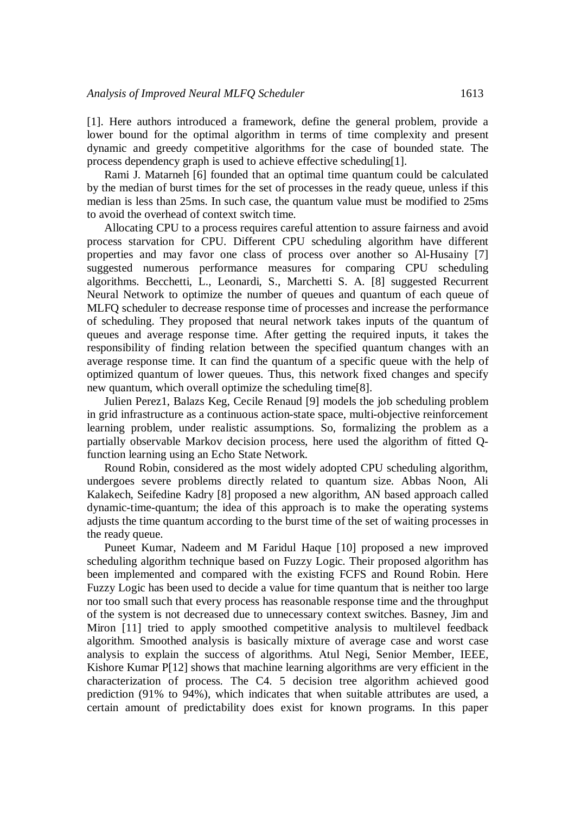[1]. Here authors introduced a framework, define the general problem, provide a lower bound for the optimal algorithm in terms of time complexity and present dynamic and greedy competitive algorithms for the case of bounded state. The process dependency graph is used to achieve effective scheduling[1].

Rami J. Matarneh [6] founded that an optimal time quantum could be calculated by the median of burst times for the set of processes in the ready queue, unless if this median is less than 25ms. In such case, the quantum value must be modified to 25ms to avoid the overhead of context switch time.

Allocating CPU to a process requires careful attention to assure fairness and avoid process starvation for CPU. Different CPU scheduling algorithm have different properties and may favor one class of process over another so Al-Husainy [7] suggested numerous performance measures for comparing CPU scheduling algorithms. Becchetti, L., Leonardi, S., Marchetti S. A. [8] suggested Recurrent Neural Network to optimize the number of queues and quantum of each queue of MLFQ scheduler to decrease response time of processes and increase the performance of scheduling. They proposed that neural network takes inputs of the quantum of queues and average response time. After getting the required inputs, it takes the responsibility of finding relation between the specified quantum changes with an average response time. It can find the quantum of a specific queue with the help of optimized quantum of lower queues. Thus, this network fixed changes and specify new quantum, which overall optimize the scheduling time[8].

Julien Perez1, Balazs Keg, Cecile Renaud [9] models the job scheduling problem in grid infrastructure as a continuous action-state space, multi-objective reinforcement learning problem, under realistic assumptions. So, formalizing the problem as a partially observable Markov decision process, here used the algorithm of fitted Qfunction learning using an Echo State Network.

Round Robin, considered as the most widely adopted CPU scheduling algorithm, undergoes severe problems directly related to quantum size. Abbas Noon, Ali Kalakech, Seifedine Kadry [8] proposed a new algorithm, AN based approach called dynamic-time-quantum; the idea of this approach is to make the operating systems adjusts the time quantum according to the burst time of the set of waiting processes in the ready queue.

Puneet Kumar, Nadeem and M Faridul Haque [10] proposed a new improved scheduling algorithm technique based on Fuzzy Logic. Their proposed algorithm has been implemented and compared with the existing FCFS and Round Robin. Here Fuzzy Logic has been used to decide a value for time quantum that is neither too large nor too small such that every process has reasonable response time and the throughput of the system is not decreased due to unnecessary context switches. Basney, Jim and Miron [11] tried to apply smoothed competitive analysis to multilevel feedback algorithm. Smoothed analysis is basically mixture of average case and worst case analysis to explain the success of algorithms. Atul Negi, Senior Member, IEEE, Kishore Kumar P[12] shows that machine learning algorithms are very efficient in the characterization of process. The C4. 5 decision tree algorithm achieved good prediction (91% to 94%), which indicates that when suitable attributes are used, a certain amount of predictability does exist for known programs. In this paper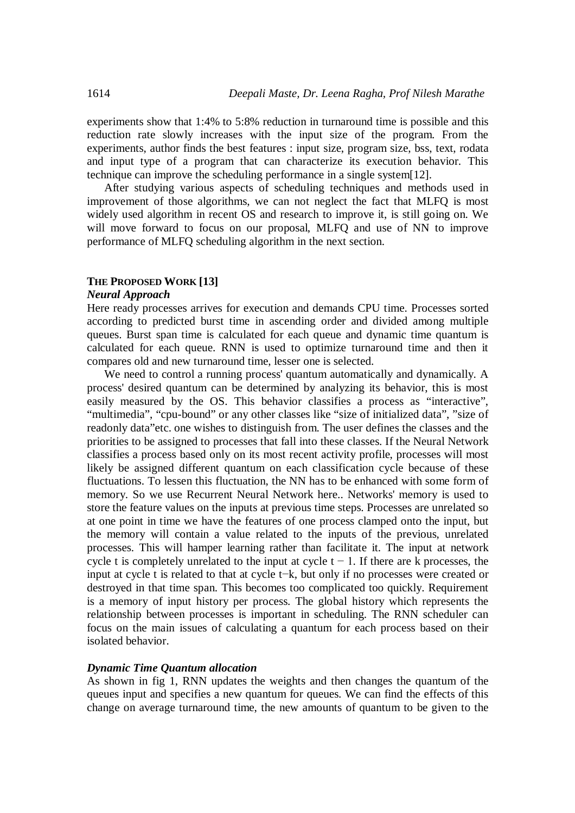experiments show that 1:4% to 5:8% reduction in turnaround time is possible and this reduction rate slowly increases with the input size of the program. From the experiments, author finds the best features : input size, program size, bss, text, rodata and input type of a program that can characterize its execution behavior. This technique can improve the scheduling performance in a single system[12].

After studying various aspects of scheduling techniques and methods used in improvement of those algorithms, we can not neglect the fact that MLFQ is most widely used algorithm in recent OS and research to improve it, is still going on. We will move forward to focus on our proposal, MLFO and use of NN to improve performance of MLFQ scheduling algorithm in the next section.

## **THE PROPOSED WORK [13]**

#### *Neural Approach*

Here ready processes arrives for execution and demands CPU time. Processes sorted according to predicted burst time in ascending order and divided among multiple queues. Burst span time is calculated for each queue and dynamic time quantum is calculated for each queue. RNN is used to optimize turnaround time and then it compares old and new turnaround time, lesser one is selected.

We need to control a running process' quantum automatically and dynamically. A process' desired quantum can be determined by analyzing its behavior, this is most easily measured by the OS. This behavior classifies a process as "interactive", "multimedia", "cpu-bound" or any other classes like "size of initialized data", "size of readonly data"etc. one wishes to distinguish from. The user defines the classes and the priorities to be assigned to processes that fall into these classes. If the Neural Network classifies a process based only on its most recent activity profile, processes will most likely be assigned different quantum on each classification cycle because of these fluctuations. To lessen this fluctuation, the NN has to be enhanced with some form of memory. So we use Recurrent Neural Network here.. Networks' memory is used to store the feature values on the inputs at previous time steps. Processes are unrelated so at one point in time we have the features of one process clamped onto the input, but the memory will contain a value related to the inputs of the previous, unrelated processes. This will hamper learning rather than facilitate it. The input at network cycle t is completely unrelated to the input at cycle t  $-1$ . If there are k processes, the input at cycle t is related to that at cycle t−k, but only if no processes were created or destroyed in that time span. This becomes too complicated too quickly. Requirement is a memory of input history per process. The global history which represents the relationship between processes is important in scheduling. The RNN scheduler can focus on the main issues of calculating a quantum for each process based on their isolated behavior.

#### *Dynamic Time Quantum allocation*

As shown in fig 1, RNN updates the weights and then changes the quantum of the queues input and specifies a new quantum for queues. We can find the effects of this change on average turnaround time, the new amounts of quantum to be given to the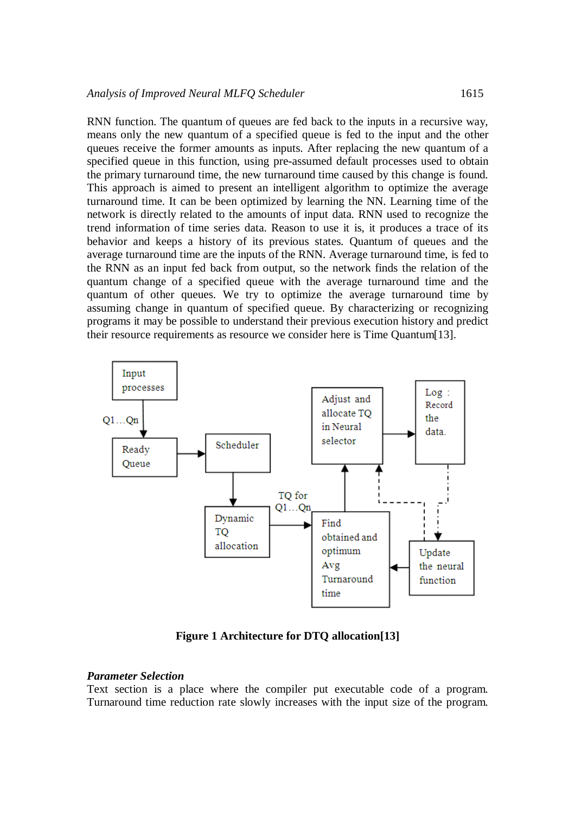RNN function. The quantum of queues are fed back to the inputs in a recursive way, means only the new quantum of a specified queue is fed to the input and the other queues receive the former amounts as inputs. After replacing the new quantum of a specified queue in this function, using pre-assumed default processes used to obtain the primary turnaround time, the new turnaround time caused by this change is found. This approach is aimed to present an intelligent algorithm to optimize the average turnaround time. It can be been optimized by learning the NN. Learning time of the network is directly related to the amounts of input data. RNN used to recognize the trend information of time series data. Reason to use it is, it produces a trace of its behavior and keeps a history of its previous states. Quantum of queues and the average turnaround time are the inputs of the RNN. Average turnaround time, is fed to the RNN as an input fed back from output, so the network finds the relation of the quantum change of a specified queue with the average turnaround time and the quantum of other queues. We try to optimize the average turnaround time by assuming change in quantum of specified queue. By characterizing or recognizing programs it may be possible to understand their previous execution history and predict their resource requirements as resource we consider here is Time Quantum[13].



**Figure 1 Architecture for DTQ allocation[13]**

#### *Parameter Selection*

Text section is a place where the compiler put executable code of a program. Turnaround time reduction rate slowly increases with the input size of the program.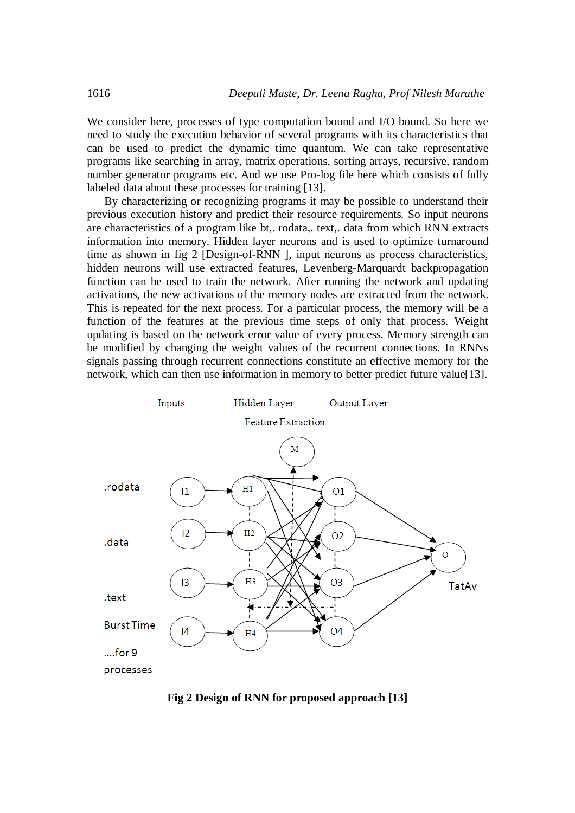We consider here, processes of type computation bound and I/O bound. So here we need to study the execution behavior of several programs with its characteristics that can be used to predict the dynamic time quantum. We can take representative programs like searching in array, matrix operations, sorting arrays, recursive, random number generator programs etc. And we use Pro-log file here which consists of fully labeled data about these processes for training [13].

By characterizing or recognizing programs it may be possible to understand their previous execution history and predict their resource requirements. So input neurons are characteristics of a program like bt,. rodata,. text,. data from which RNN extracts information into memory. Hidden layer neurons and is used to optimize turnaround time as shown in fig 2 [Design-of-RNN ], input neurons as process characteristics, hidden neurons will use extracted features, Levenberg-Marquardt backpropagation function can be used to train the network. After running the network and updating activations, the new activations of the memory nodes are extracted from the network. This is repeated for the next process. For a particular process, the memory will be a function of the features at the previous time steps of only that process. Weight updating is based on the network error value of every process. Memory strength can be modified by changing the weight values of the recurrent connections. In RNNs signals passing through recurrent connections constitute an effective memory for the network, which can then use information in memory to better predict future value[13].



**Fig 2 Design of RNN for proposed approach [13]**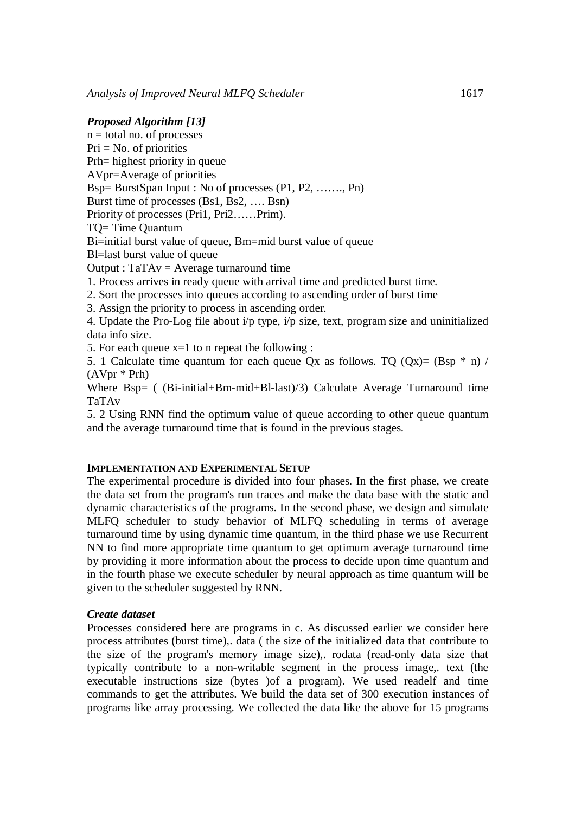#### *Proposed Algorithm [13]*

 $n =$ total no. of processes  $Pri = No$ . of priorities Prh= highest priority in queue AVpr=Average of priorities Bsp= BurstSpan Input : No of processes (P1, P2, ……., Pn) Burst time of processes (Bs1, Bs2, …. Bsn) Priority of processes (Pri1, Pri2……Prim). TQ= Time Quantum Bi=initial burst value of queue, Bm=mid burst value of queue Bl=last burst value of queue Output :  $TaTAv = Average$  turnaround time 1. Process arrives in ready queue with arrival time and predicted burst time. 2. Sort the processes into queues according to ascending order of burst time 3. Assign the priority to process in ascending order. 4. Update the Pro-Log file about i/p type, i/p size, text, program size and uninitialized data info size.

5. For each queue  $x=1$  to n repeat the following :

5. 1 Calculate time quantum for each queue Qx as follows. TQ  $(Qx) = (Bsp * n) /$ (AVpr \* Prh)

Where Bsp= ( (Bi-initial+Bm-mid+Bl-last)/3) Calculate Average Turnaround time TaTAv

5. 2 Using RNN find the optimum value of queue according to other queue quantum and the average turnaround time that is found in the previous stages.

### **IMPLEMENTATION AND EXPERIMENTAL SETUP**

The experimental procedure is divided into four phases. In the first phase, we create the data set from the program's run traces and make the data base with the static and dynamic characteristics of the programs. In the second phase, we design and simulate MLFQ scheduler to study behavior of MLFQ scheduling in terms of average turnaround time by using dynamic time quantum, in the third phase we use Recurrent NN to find more appropriate time quantum to get optimum average turnaround time by providing it more information about the process to decide upon time quantum and in the fourth phase we execute scheduler by neural approach as time quantum will be given to the scheduler suggested by RNN.

#### *Create dataset*

Processes considered here are programs in c. As discussed earlier we consider here process attributes (burst time),. data ( the size of the initialized data that contribute to the size of the program's memory image size),. rodata (read-only data size that typically contribute to a non-writable segment in the process image,. text (the executable instructions size (bytes )of a program). We used readelf and time commands to get the attributes. We build the data set of 300 execution instances of programs like array processing. We collected the data like the above for 15 programs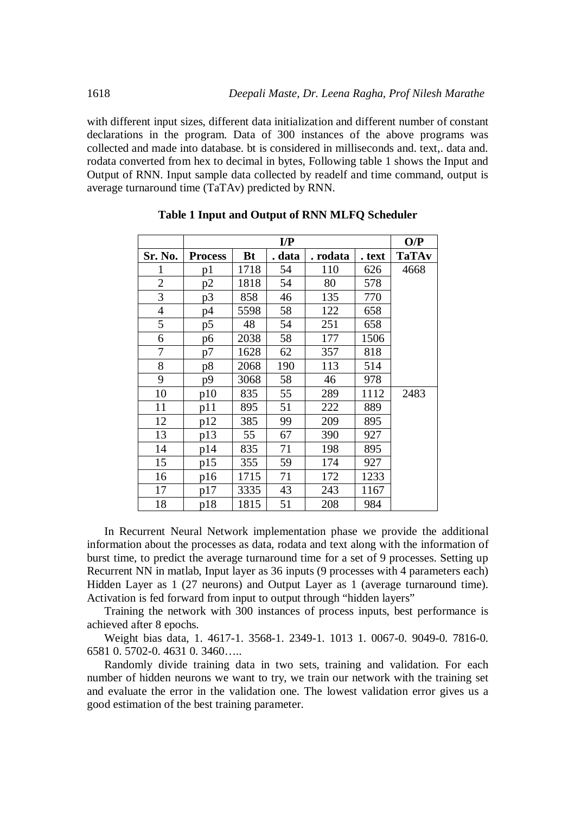with different input sizes, different data initialization and different number of constant declarations in the program. Data of 300 instances of the above programs was collected and made into database. bt is considered in milliseconds and. text,. data and. rodata converted from hex to decimal in bytes, Following table 1 shows the Input and Output of RNN. Input sample data collected by readelf and time command, output is average turnaround time (TaTAv) predicted by RNN.

|                | $\mathbf{I}/\mathbf{P}$ |           |        |          |        | O/P          |
|----------------|-------------------------|-----------|--------|----------|--------|--------------|
| Sr. No.        | <b>Process</b>          | <b>Bt</b> | . data | . rodata | . text | <b>TaTAv</b> |
|                | p1                      | 1718      | 54     | 110      | 626    | 4668         |
| $\mathfrak{2}$ | p2                      | 1818      | 54     | 80       | 578    |              |
| 3              | p3                      | 858       | 46     | 135      | 770    |              |
| 4              | р4                      | 5598      | 58     | 122      | 658    |              |
| 5              | p5                      | 48        | 54     | 251      | 658    |              |
| 6              | p6                      | 2038      | 58     | 177      | 1506   |              |
| 7              | p7                      | 1628      | 62     | 357      | 818    |              |
| 8              | p8                      | 2068      | 190    | 113      | 514    |              |
| 9              | p9                      | 3068      | 58     | 46       | 978    |              |
| 10             | p10                     | 835       | 55     | 289      | 1112   | 2483         |
| 11             | p11                     | 895       | 51     | 222      | 889    |              |
| 12             | p12                     | 385       | 99     | 209      | 895    |              |
| 13             | p13                     | 55        | 67     | 390      | 927    |              |
| 14             | p14                     | 835       | 71     | 198      | 895    |              |
| 15             | p15                     | 355       | 59     | 174      | 927    |              |
| 16             | p16                     | 1715      | 71     | 172      | 1233   |              |
| 17             | p17                     | 3335      | 43     | 243      | 1167   |              |
| 18             | p18                     | 1815      | 51     | 208      | 984    |              |

#### **Table 1 Input and Output of RNN MLFQ Scheduler**

In Recurrent Neural Network implementation phase we provide the additional information about the processes as data, rodata and text along with the information of burst time, to predict the average turnaround time for a set of 9 processes. Setting up Recurrent NN in matlab, Input layer as 36 inputs (9 processes with 4 parameters each) Hidden Layer as 1 (27 neurons) and Output Layer as 1 (average turnaround time). Activation is fed forward from input to output through "hidden layers"

Training the network with 300 instances of process inputs, best performance is achieved after 8 epochs.

Weight bias data, 1. 4617-1. 3568-1. 2349-1. 1013 1. 0067-0. 9049-0. 7816-0. 6581 0. 5702-0. 4631 0. 3460…..

Randomly divide training data in two sets, training and validation. For each number of hidden neurons we want to try, we train our network with the training set and evaluate the error in the validation one. The lowest validation error gives us a good estimation of the best training parameter.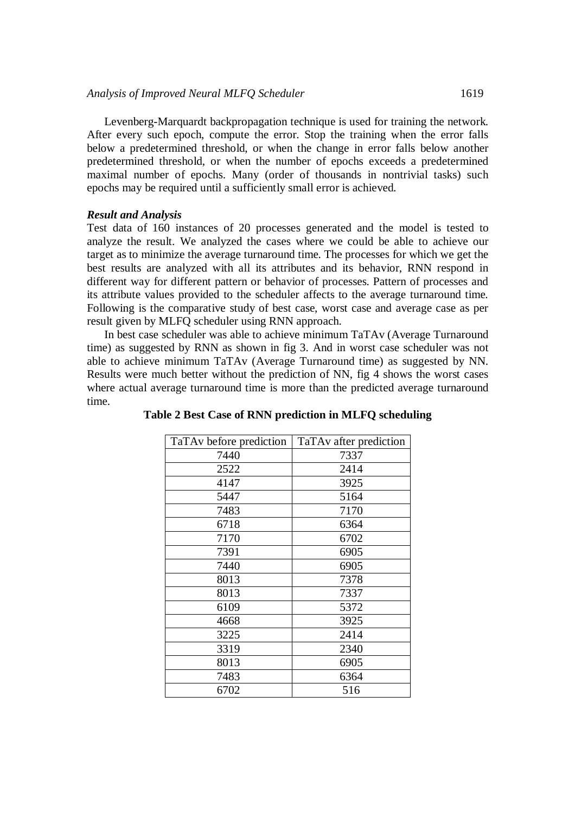Levenberg-Marquardt backpropagation technique is used for training the network. After every such epoch, compute the error. Stop the training when the error falls below a predetermined threshold, or when the change in error falls below another predetermined threshold, or when the number of epochs exceeds a predetermined maximal number of epochs. Many (order of thousands in nontrivial tasks) such epochs may be required until a sufficiently small error is achieved.

# *Result and Analysis*

Test data of 160 instances of 20 processes generated and the model is tested to analyze the result. We analyzed the cases where we could be able to achieve our target as to minimize the average turnaround time. The processes for which we get the best results are analyzed with all its attributes and its behavior, RNN respond in different way for different pattern or behavior of processes. Pattern of processes and its attribute values provided to the scheduler affects to the average turnaround time. Following is the comparative study of best case, worst case and average case as per result given by MLFQ scheduler using RNN approach.

In best case scheduler was able to achieve minimum TaTAv (Average Turnaround time) as suggested by RNN as shown in fig 3. And in worst case scheduler was not able to achieve minimum TaTAv (Average Turnaround time) as suggested by NN. Results were much better without the prediction of NN, fig 4 shows the worst cases where actual average turnaround time is more than the predicted average turnaround time.

| TaTAv before prediction | TaTAv after prediction |
|-------------------------|------------------------|
| 7440                    | 7337                   |
| 2522                    | 2414                   |
| 4147                    | 3925                   |
| 5447                    | 5164                   |
| 7483                    | 7170                   |
| 6718                    | 6364                   |
| 7170                    | 6702                   |
| 7391                    | 6905                   |
| 7440                    | 6905                   |
| 8013                    | 7378                   |
| 8013                    | 7337                   |
| 6109                    | 5372                   |
| 4668                    | 3925                   |
| 3225                    | 2414                   |
| 3319                    | 2340                   |
| 8013                    | 6905                   |
| 7483                    | 6364                   |
| 6702                    | 516                    |

**Table 2 Best Case of RNN prediction in MLFQ scheduling**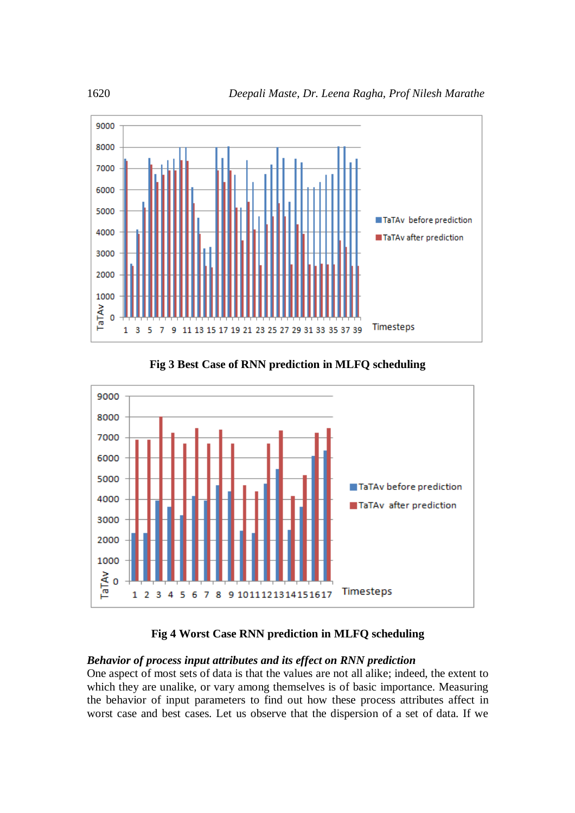

**Fig 3 Best Case of RNN prediction in MLFQ scheduling**



# **Fig 4 Worst Case RNN prediction in MLFQ scheduling**

# *Behavior of process input attributes and its effect on RNN prediction*

One aspect of most sets of data is that the values are not all alike; indeed, the extent to which they are unalike, or vary among themselves is of basic importance. Measuring the behavior of input parameters to find out how these process attributes affect in worst case and best cases. Let us observe that the dispersion of a set of data. If we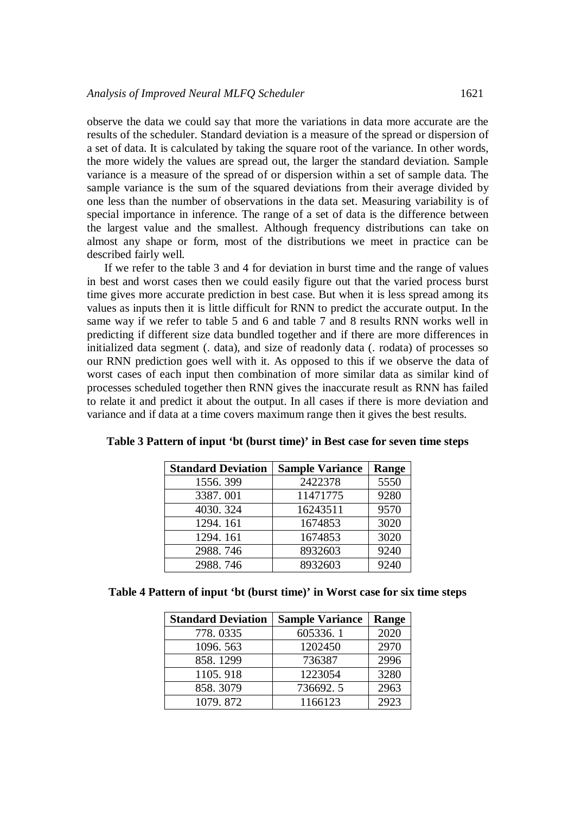observe the data we could say that more the variations in data more accurate are the results of the scheduler. Standard deviation is a measure of the spread or dispersion of a set of data. It is calculated by taking the square root of the variance. In other words, the more widely the values are spread out, the larger the standard deviation. Sample variance is a measure of the spread of or dispersion within a set of sample data. The sample variance is the sum of the squared deviations from their average divided by one less than the number of observations in the data set. Measuring variability is of special importance in inference. The range of a set of data is the difference between the largest value and the smallest. Although frequency distributions can take on almost any shape or form, most of the distributions we meet in practice can be described fairly well.

If we refer to the table 3 and 4 for deviation in burst time and the range of values in best and worst cases then we could easily figure out that the varied process burst time gives more accurate prediction in best case. But when it is less spread among its values as inputs then it is little difficult for RNN to predict the accurate output. In the same way if we refer to table 5 and 6 and table 7 and 8 results RNN works well in predicting if different size data bundled together and if there are more differences in initialized data segment (. data), and size of readonly data (. rodata) of processes so our RNN prediction goes well with it. As opposed to this if we observe the data of worst cases of each input then combination of more similar data as similar kind of processes scheduled together then RNN gives the inaccurate result as RNN has failed to relate it and predict it about the output. In all cases if there is more deviation and variance and if data at a time covers maximum range then it gives the best results.

| <b>Standard Deviation</b> | <b>Sample Variance</b> | Range |
|---------------------------|------------------------|-------|
| 1556.399                  | 2422378                | 5550  |
| 3387.001                  | 11471775               | 9280  |
| 4030.324                  | 16243511               | 9570  |
| 1294.161                  | 1674853                | 3020  |
| 1294.161                  | 1674853                | 3020  |
| 2988.746                  | 8932603                | 9240  |
| 2988.746                  | 8932603                | 9240  |

**Table 3 Pattern of input 'bt (burst time)' in Best case for seven time steps**

| Table 4 Pattern of input 'bt (burst time)' in Worst case for six time steps |  |  |  |  |  |  |
|-----------------------------------------------------------------------------|--|--|--|--|--|--|
|-----------------------------------------------------------------------------|--|--|--|--|--|--|

| <b>Standard Deviation</b> | <b>Sample Variance</b> | Range |
|---------------------------|------------------------|-------|
| 778.0335                  | 605336.1               | 2020  |
| 1096.563                  | 1202450                | 2970  |
| 858.1299                  | 736387                 | 2996  |
| 1105.918                  | 1223054                | 3280  |
| 858.3079                  | 736692.5               | 2963  |
| 1079.872                  | 1166123                | 2923  |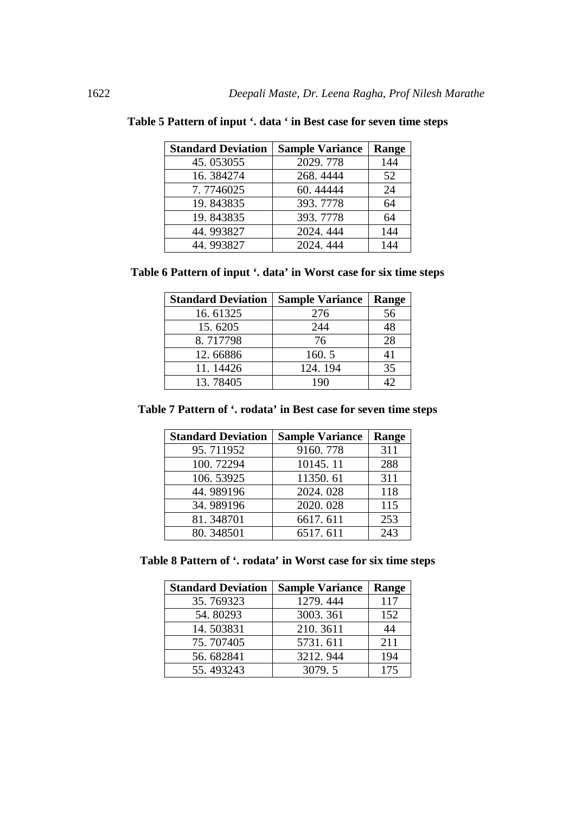| <b>Standard Deviation</b> | <b>Sample Variance</b> | Range |
|---------------------------|------------------------|-------|
| 45.053055                 | 2029.778               | 144   |
| 16.384274                 | 268.4444               | 52    |
| 7.7746025                 | 60.44444               | 24    |
| 19.843835                 | 393.7778               | 64    |
| 19.843835                 | 393.7778               | 64    |
| 44.993827                 | 2024.444               | 144   |
| 44.993827                 | 2024.444               | 144   |

|  |  | Table 5 Pattern of input '. data ' in Best case for seven time steps |  |
|--|--|----------------------------------------------------------------------|--|
|--|--|----------------------------------------------------------------------|--|

**Table 6 Pattern of input '. data' in Worst case for six time steps**

| <b>Standard Deviation</b> | <b>Sample Variance</b> | <b>Range</b> |
|---------------------------|------------------------|--------------|
| 16.61325                  | 276                    | 56           |
| 15.6205                   | 244                    | 48           |
| 8.717798                  | 76                     | 28           |
| 12.66886                  | 160.5                  | 41           |
| 11.14426                  | 124.194                | 35           |
| 13.78405                  | 190                    |              |

**Table 7 Pattern of '. rodata' in Best case for seven time steps**

| <b>Standard Deviation</b> | <b>Sample Variance</b> | Range |
|---------------------------|------------------------|-------|
| 95.711952                 | 9160.778               | 311   |
| 100.72294                 | 10145.11               | 288   |
| 106.53925                 | 11350.61               | 311   |
| 44.989196                 | 2024.028               | 118   |
| 34.989196                 | 2020.028               | 115   |
| 81.348701                 | 6617.611               | 253   |
| 80.348501                 | 6517.611               | 243   |

**Table 8 Pattern of '. rodata' in Worst case for six time steps**

| <b>Standard Deviation</b> | <b>Sample Variance</b> | Range |
|---------------------------|------------------------|-------|
| 35.769323                 | 1279.444               | 117   |
| 54.80293                  | 3003.361               | 152   |
| 14.503831                 | 210.3611               | 44    |
| 75.707405                 | 5731.611               | 211   |
| 56.682841                 | 3212.944               | 194   |
| 55.493243                 | 3079.5                 | 175   |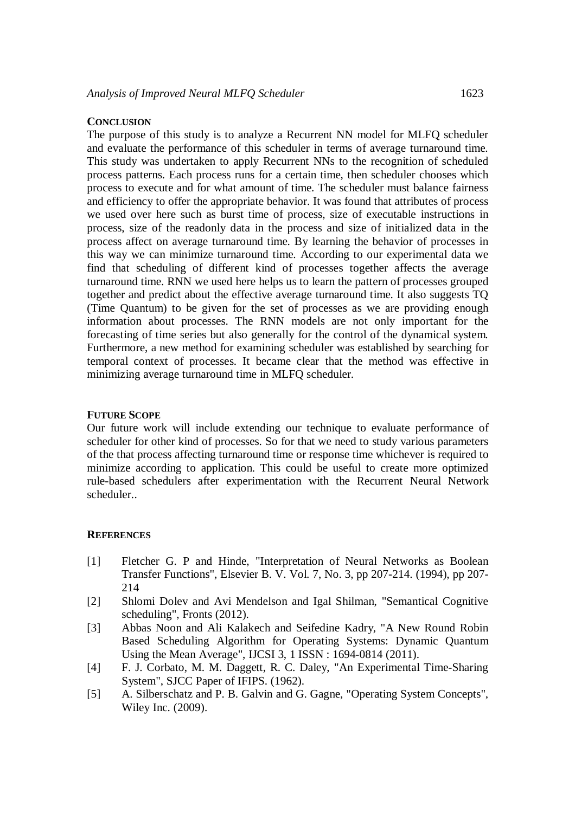#### **CONCLUSION**

The purpose of this study is to analyze a Recurrent NN model for MLFQ scheduler and evaluate the performance of this scheduler in terms of average turnaround time. This study was undertaken to apply Recurrent NNs to the recognition of scheduled process patterns. Each process runs for a certain time, then scheduler chooses which process to execute and for what amount of time. The scheduler must balance fairness and efficiency to offer the appropriate behavior. It was found that attributes of process we used over here such as burst time of process, size of executable instructions in process, size of the readonly data in the process and size of initialized data in the process affect on average turnaround time. By learning the behavior of processes in this way we can minimize turnaround time. According to our experimental data we find that scheduling of different kind of processes together affects the average turnaround time. RNN we used here helps us to learn the pattern of processes grouped together and predict about the effective average turnaround time. It also suggests TQ (Time Quantum) to be given for the set of processes as we are providing enough information about processes. The RNN models are not only important for the forecasting of time series but also generally for the control of the dynamical system. Furthermore, a new method for examining scheduler was established by searching for temporal context of processes. It became clear that the method was effective in minimizing average turnaround time in MLFQ scheduler.

#### **FUTURE SCOPE**

Our future work will include extending our technique to evaluate performance of scheduler for other kind of processes. So for that we need to study various parameters of the that process affecting turnaround time or response time whichever is required to minimize according to application. This could be useful to create more optimized rule-based schedulers after experimentation with the Recurrent Neural Network scheduler..

### **REFERENCES**

- [1] Fletcher G. P and Hinde, "Interpretation of Neural Networks as Boolean Transfer Functions", Elsevier B. V. Vol. 7, No. 3, pp 207-214. (1994), pp 207- 214
- [2] Shlomi Dolev and Avi Mendelson and Igal Shilman, "Semantical Cognitive scheduling", Fronts (2012).
- [3] Abbas Noon and Ali Kalakech and Seifedine Kadry, "A New Round Robin Based Scheduling Algorithm for Operating Systems: Dynamic Quantum Using the Mean Average", IJCSI 3, 1 ISSN : 1694-0814 (2011).
- [4] F. J. Corbato, M. M. Daggett, R. C. Daley, "An Experimental Time-Sharing System", SJCC Paper of IFIPS. (1962).
- [5] A. Silberschatz and P. B. Galvin and G. Gagne, "Operating System Concepts", Wiley Inc. (2009).